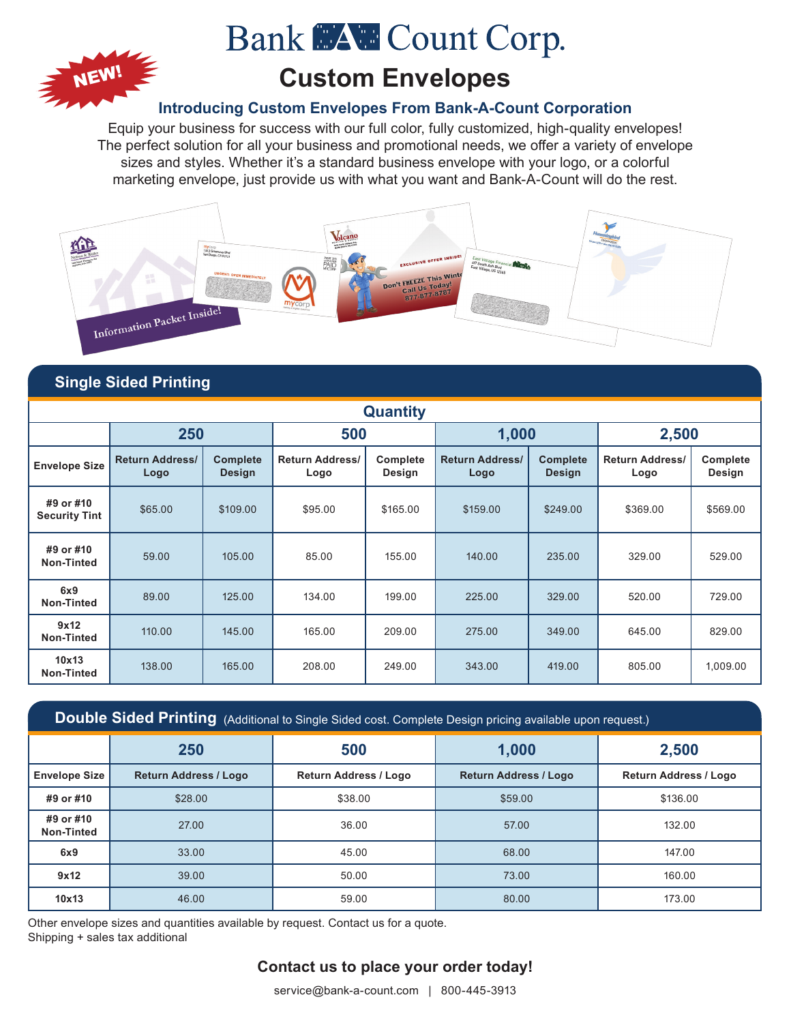

# **Bank MAW Count Corp.**

# **Custom Envelopes**

## **Introducing Custom Envelopes From Bank-A-Count Corporation**

Equip your business for success with our full color, fully customized, high-quality envelopes! The perfect solution for all your business and promotional needs, we offer a variety of envelope sizes and styles. Whether it's a standard business envelope with your logo, or a colorful marketing envelope, just provide us with what you want and Bank-A-Count will do the rest.



## **Single Sided Printing**

| <b>Quantity</b>                   |                                |                                  |                                |                    |                                |                                  |                                |                    |  |  |
|-----------------------------------|--------------------------------|----------------------------------|--------------------------------|--------------------|--------------------------------|----------------------------------|--------------------------------|--------------------|--|--|
|                                   | 250                            |                                  | 500                            |                    | 1,000                          |                                  | 2,500                          |                    |  |  |
| <b>Envelope Size</b>              | <b>Return Address/</b><br>Logo | <b>Complete</b><br><b>Design</b> | <b>Return Address/</b><br>Logo | Complete<br>Design | <b>Return Address/</b><br>Logo | <b>Complete</b><br><b>Design</b> | <b>Return Address/</b><br>Logo | Complete<br>Design |  |  |
| #9 or #10<br><b>Security Tint</b> | \$65.00                        | \$109.00                         | \$95.00                        | \$165.00           | \$159.00                       | \$249.00                         | \$369.00                       | \$569.00           |  |  |
| #9 or #10<br>Non-Tinted           | 59.00                          | 105.00                           | 85.00                          | 155.00             | 140.00                         | 235.00                           | 329.00                         | 529.00             |  |  |
| 6x9<br>Non-Tinted                 | 89.00                          | 125.00                           | 134.00                         | 199.00             | 225.00                         | 329.00                           | 520.00                         | 729.00             |  |  |
| 9x12<br>Non-Tinted                | 110.00                         | 145.00                           | 165.00                         | 209.00             | 275.00                         | 349.00                           | 645.00                         | 829.00             |  |  |
| 10x13<br><b>Non-Tinted</b>        | 138.00                         | 165.00                           | 208.00                         | 249.00             | 343.00                         | 419.00                           | 805.00                         | 1,009.00           |  |  |

| $\overline{a}$ Double Sided Printing $\overline{a}$ (Additional to Single Sided cost. Complete Design pricing available upon request.) |                              |                              |                              |                              |  |  |  |  |  |
|----------------------------------------------------------------------------------------------------------------------------------------|------------------------------|------------------------------|------------------------------|------------------------------|--|--|--|--|--|
|                                                                                                                                        | 250                          | 500                          | 1,000                        | 2,500                        |  |  |  |  |  |
| <b>Envelope Size</b>                                                                                                                   | <b>Return Address / Logo</b> | <b>Return Address / Logo</b> | <b>Return Address / Logo</b> | <b>Return Address / Logo</b> |  |  |  |  |  |
| #9 or #10                                                                                                                              | \$28.00                      | \$38.00                      | \$59.00                      | \$136.00                     |  |  |  |  |  |
| #9 or #10<br><b>Non-Tinted</b>                                                                                                         | 27.00                        | 36.00                        | 57.00                        | 132.00                       |  |  |  |  |  |
| 6x9                                                                                                                                    | 33.00                        | 45.00                        | 68.00                        | 147.00                       |  |  |  |  |  |
| 9x12                                                                                                                                   | 39.00                        | 50.00                        | 73.00                        | 160.00                       |  |  |  |  |  |
| 10x13                                                                                                                                  | 46.00                        | 59.00                        | 80.00                        | 173.00                       |  |  |  |  |  |

Other envelope sizes and quantities available by request. Contact us for a quote. Shipping + sales tax additional

## **Contact us to place your order today!**